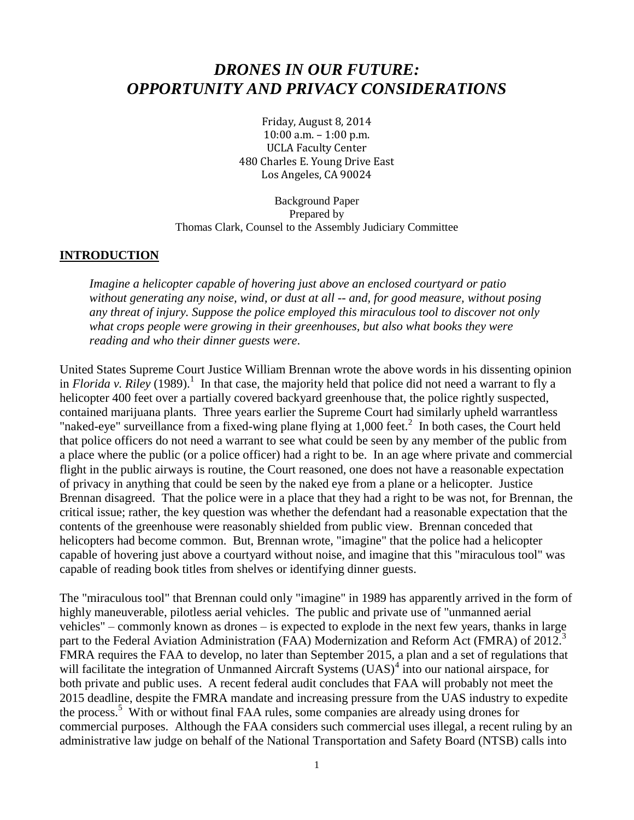# *DRONES IN OUR FUTURE: OPPORTUNITY AND PRIVACY CONSIDERATIONS*

Friday, August 8, 2014 10:00 a.m. – 1:00 p.m. UCLA Faculty Center 480 Charles E. Young Drive East Los Angeles, CA 90024

Background Paper Prepared by Thomas Clark, Counsel to the Assembly Judiciary Committee

#### **INTRODUCTION**

*Imagine a helicopter capable of hovering just above an enclosed courtyard or patio without generating any noise, wind, or dust at all -- and, for good measure, without posing any threat of injury. Suppose the police employed this miraculous tool to discover not only what crops people were growing in their greenhouses, but also what books they were reading and who their dinner guests were*.

United States Supreme Court Justice William Brennan wrote the above words in his dissenting opinion in *Florida v. Riley* (1989).<sup>1</sup> In that case, the majority held that police did not need a warrant to fly a helicopter 400 feet over a partially covered backyard greenhouse that, the police rightly suspected, contained marijuana plants. Three years earlier the Supreme Court had similarly upheld warrantless "naked-eye" surveillance from a fixed-wing plane flying at  $1,000$  feet.<sup>2</sup> In both cases, the Court held that police officers do not need a warrant to see what could be seen by any member of the public from a place where the public (or a police officer) had a right to be. In an age where private and commercial flight in the public airways is routine, the Court reasoned, one does not have a reasonable expectation of privacy in anything that could be seen by the naked eye from a plane or a helicopter. Justice Brennan disagreed. That the police were in a place that they had a right to be was not, for Brennan, the critical issue; rather, the key question was whether the defendant had a reasonable expectation that the contents of the greenhouse were reasonably shielded from public view. Brennan conceded that helicopters had become common. But, Brennan wrote, "imagine" that the police had a helicopter capable of hovering just above a courtyard without noise, and imagine that this "miraculous tool" was capable of reading book titles from shelves or identifying dinner guests.

The "miraculous tool" that Brennan could only "imagine" in 1989 has apparently arrived in the form of highly maneuverable, pilotless aerial vehicles. The public and private use of "unmanned aerial vehicles" – commonly known as drones – is expected to explode in the next few years, thanks in large part to the Federal Aviation Administration (FAA) Modernization and Reform Act (FMRA) of 2012.<sup>3</sup> FMRA requires the FAA to develop, no later than September 2015, a plan and a set of regulations that will facilitate the integration of Unmanned Aircraft Systems (UAS)<sup>4</sup> into our national airspace, for both private and public uses. A recent federal audit concludes that FAA will probably not meet the 2015 deadline, despite the FMRA mandate and increasing pressure from the UAS industry to expedite the process.<sup>5</sup> With or without final FAA rules, some companies are already using drones for commercial purposes. Although the FAA considers such commercial uses illegal, a recent ruling by an administrative law judge on behalf of the National Transportation and Safety Board (NTSB) calls into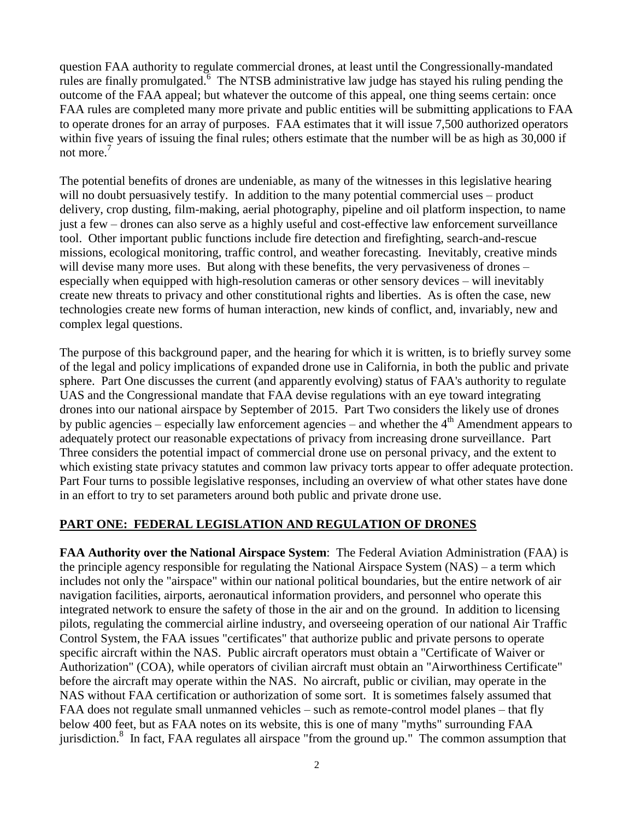question FAA authority to regulate commercial drones, at least until the Congressionally-mandated rules are finally promulgated. $6$  The NTSB administrative law judge has stayed his ruling pending the outcome of the FAA appeal; but whatever the outcome of this appeal, one thing seems certain: once FAA rules are completed many more private and public entities will be submitting applications to FAA to operate drones for an array of purposes. FAA estimates that it will issue 7,500 authorized operators within five years of issuing the final rules; others estimate that the number will be as high as 30,000 if not more.<sup>7</sup>

The potential benefits of drones are undeniable, as many of the witnesses in this legislative hearing will no doubt persuasively testify. In addition to the many potential commercial uses – product delivery, crop dusting, film-making, aerial photography, pipeline and oil platform inspection, to name just a few – drones can also serve as a highly useful and cost-effective law enforcement surveillance tool. Other important public functions include fire detection and firefighting, search-and-rescue missions, ecological monitoring, traffic control, and weather forecasting. Inevitably, creative minds will devise many more uses. But along with these benefits, the very pervasiveness of drones – especially when equipped with high-resolution cameras or other sensory devices – will inevitably create new threats to privacy and other constitutional rights and liberties. As is often the case, new technologies create new forms of human interaction, new kinds of conflict, and, invariably, new and complex legal questions.

The purpose of this background paper, and the hearing for which it is written, is to briefly survey some of the legal and policy implications of expanded drone use in California, in both the public and private sphere. Part One discusses the current (and apparently evolving) status of FAA's authority to regulate UAS and the Congressional mandate that FAA devise regulations with an eye toward integrating drones into our national airspace by September of 2015. Part Two considers the likely use of drones by public agencies – especially law enforcement agencies – and whether the  $4<sup>th</sup>$  Amendment appears to adequately protect our reasonable expectations of privacy from increasing drone surveillance. Part Three considers the potential impact of commercial drone use on personal privacy, and the extent to which existing state privacy statutes and common law privacy torts appear to offer adequate protection. Part Four turns to possible legislative responses, including an overview of what other states have done in an effort to try to set parameters around both public and private drone use.

### **PART ONE: FEDERAL LEGISLATION AND REGULATION OF DRONES**

**FAA Authority over the National Airspace System**: The Federal Aviation Administration (FAA) is the principle agency responsible for regulating the National Airspace System (NAS) – a term which includes not only the "airspace" within our national political boundaries, but the entire network of air navigation facilities, airports, aeronautical information providers, and personnel who operate this integrated network to ensure the safety of those in the air and on the ground. In addition to licensing pilots, regulating the commercial airline industry, and overseeing operation of our national Air Traffic Control System, the FAA issues "certificates" that authorize public and private persons to operate specific aircraft within the NAS. Public aircraft operators must obtain a "Certificate of Waiver or Authorization" (COA), while operators of civilian aircraft must obtain an "Airworthiness Certificate" before the aircraft may operate within the NAS. No aircraft, public or civilian, may operate in the NAS without FAA certification or authorization of some sort. It is sometimes falsely assumed that FAA does not regulate small unmanned vehicles – such as remote-control model planes – that fly below 400 feet, but as FAA notes on its website, this is one of many "myths" surrounding FAA jurisdiction.<sup>8</sup> In fact, FAA regulates all airspace "from the ground up." The common assumption that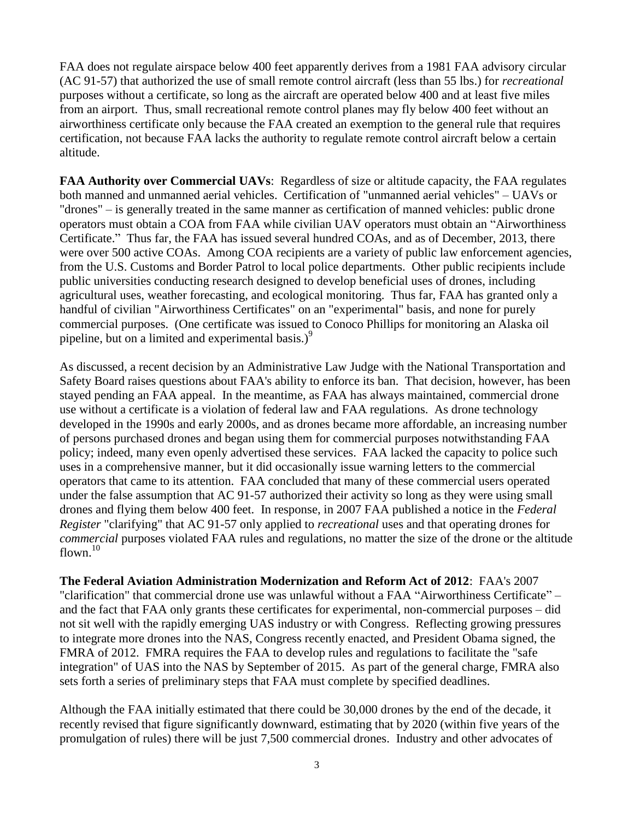FAA does not regulate airspace below 400 feet apparently derives from a 1981 FAA advisory circular (AC 91-57) that authorized the use of small remote control aircraft (less than 55 lbs.) for *recreational* purposes without a certificate, so long as the aircraft are operated below 400 and at least five miles from an airport. Thus, small recreational remote control planes may fly below 400 feet without an airworthiness certificate only because the FAA created an exemption to the general rule that requires certification, not because FAA lacks the authority to regulate remote control aircraft below a certain altitude.

**FAA Authority over Commercial UAVs**: Regardless of size or altitude capacity, the FAA regulates both manned and unmanned aerial vehicles. Certification of "unmanned aerial vehicles" – UAVs or "drones" – is generally treated in the same manner as certification of manned vehicles: public drone operators must obtain a COA from FAA while civilian UAV operators must obtain an "Airworthiness Certificate." Thus far, the FAA has issued several hundred COAs, and as of December, 2013, there were over 500 active COAs. Among COA recipients are a variety of public law enforcement agencies, from the U.S. Customs and Border Patrol to local police departments. Other public recipients include public universities conducting research designed to develop beneficial uses of drones, including agricultural uses, weather forecasting, and ecological monitoring. Thus far, FAA has granted only a handful of civilian "Airworthiness Certificates" on an "experimental" basis, and none for purely commercial purposes. (One certificate was issued to Conoco Phillips for monitoring an Alaska oil pipeline, but on a limited and experimental basis.) $^{9}$ 

As discussed, a recent decision by an Administrative Law Judge with the National Transportation and Safety Board raises questions about FAA's ability to enforce its ban. That decision, however, has been stayed pending an FAA appeal. In the meantime, as FAA has always maintained, commercial drone use without a certificate is a violation of federal law and FAA regulations. As drone technology developed in the 1990s and early 2000s, and as drones became more affordable, an increasing number of persons purchased drones and began using them for commercial purposes notwithstanding FAA policy; indeed, many even openly advertised these services. FAA lacked the capacity to police such uses in a comprehensive manner, but it did occasionally issue warning letters to the commercial operators that came to its attention. FAA concluded that many of these commercial users operated under the false assumption that AC 91-57 authorized their activity so long as they were using small drones and flying them below 400 feet. In response, in 2007 FAA published a notice in the *Federal Register* "clarifying" that AC 91-57 only applied to *recreational* uses and that operating drones for *commercial* purposes violated FAA rules and regulations, no matter the size of the drone or the altitude flown. $10$ 

**The Federal Aviation Administration Modernization and Reform Act of 2012**: FAA's 2007 "clarification" that commercial drone use was unlawful without a FAA "Airworthiness Certificate" – and the fact that FAA only grants these certificates for experimental, non-commercial purposes – did not sit well with the rapidly emerging UAS industry or with Congress. Reflecting growing pressures to integrate more drones into the NAS, Congress recently enacted, and President Obama signed, the FMRA of 2012. FMRA requires the FAA to develop rules and regulations to facilitate the "safe integration" of UAS into the NAS by September of 2015. As part of the general charge, FMRA also sets forth a series of preliminary steps that FAA must complete by specified deadlines.

Although the FAA initially estimated that there could be 30,000 drones by the end of the decade, it recently revised that figure significantly downward, estimating that by 2020 (within five years of the promulgation of rules) there will be just 7,500 commercial drones. Industry and other advocates of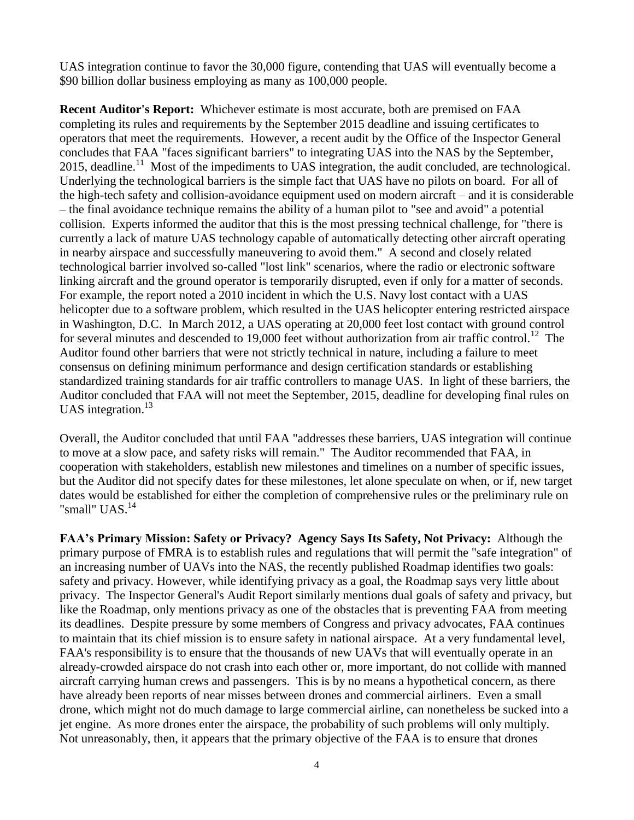UAS integration continue to favor the 30,000 figure, contending that UAS will eventually become a \$90 billion dollar business employing as many as 100,000 people.

**Recent Auditor's Report:** Whichever estimate is most accurate, both are premised on FAA completing its rules and requirements by the September 2015 deadline and issuing certificates to operators that meet the requirements. However, a recent audit by the Office of the Inspector General concludes that FAA "faces significant barriers" to integrating UAS into the NAS by the September, 2015, deadline.<sup>11</sup> Most of the impediments to UAS integration, the audit concluded, are technological. Underlying the technological barriers is the simple fact that UAS have no pilots on board. For all of the high-tech safety and collision-avoidance equipment used on modern aircraft – and it is considerable – the final avoidance technique remains the ability of a human pilot to "see and avoid" a potential collision. Experts informed the auditor that this is the most pressing technical challenge, for "there is currently a lack of mature UAS technology capable of automatically detecting other aircraft operating in nearby airspace and successfully maneuvering to avoid them." A second and closely related technological barrier involved so-called "lost link" scenarios, where the radio or electronic software linking aircraft and the ground operator is temporarily disrupted, even if only for a matter of seconds. For example, the report noted a 2010 incident in which the U.S. Navy lost contact with a UAS helicopter due to a software problem, which resulted in the UAS helicopter entering restricted airspace in Washington, D.C. In March 2012, a UAS operating at 20,000 feet lost contact with ground control for several minutes and descended to 19,000 feet without authorization from air traffic control.<sup>12</sup> The Auditor found other barriers that were not strictly technical in nature, including a failure to meet consensus on defining minimum performance and design certification standards or establishing standardized training standards for air traffic controllers to manage UAS. In light of these barriers, the Auditor concluded that FAA will not meet the September, 2015, deadline for developing final rules on UAS integration. $^{13}$ 

Overall, the Auditor concluded that until FAA "addresses these barriers, UAS integration will continue to move at a slow pace, and safety risks will remain." The Auditor recommended that FAA, in cooperation with stakeholders, establish new milestones and timelines on a number of specific issues, but the Auditor did not specify dates for these milestones, let alone speculate on when, or if, new target dates would be established for either the completion of comprehensive rules or the preliminary rule on "small" UAS.<sup>14</sup>

**FAA's Primary Mission: Safety or Privacy? Agency Says Its Safety, Not Privacy:** Although the primary purpose of FMRA is to establish rules and regulations that will permit the "safe integration" of an increasing number of UAVs into the NAS, the recently published Roadmap identifies two goals: safety and privacy. However, while identifying privacy as a goal, the Roadmap says very little about privacy. The Inspector General's Audit Report similarly mentions dual goals of safety and privacy, but like the Roadmap, only mentions privacy as one of the obstacles that is preventing FAA from meeting its deadlines. Despite pressure by some members of Congress and privacy advocates, FAA continues to maintain that its chief mission is to ensure safety in national airspace. At a very fundamental level, FAA's responsibility is to ensure that the thousands of new UAVs that will eventually operate in an already-crowded airspace do not crash into each other or, more important, do not collide with manned aircraft carrying human crews and passengers. This is by no means a hypothetical concern, as there have already been reports of near misses between drones and commercial airliners. Even a small drone, which might not do much damage to large commercial airline, can nonetheless be sucked into a jet engine. As more drones enter the airspace, the probability of such problems will only multiply. Not unreasonably, then, it appears that the primary objective of the FAA is to ensure that drones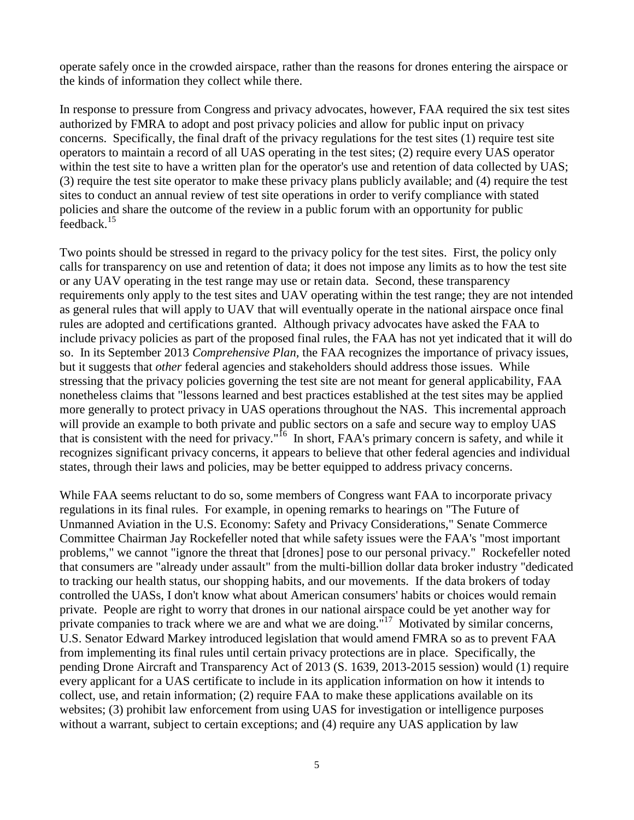operate safely once in the crowded airspace, rather than the reasons for drones entering the airspace or the kinds of information they collect while there.

In response to pressure from Congress and privacy advocates, however, FAA required the six test sites authorized by FMRA to adopt and post privacy policies and allow for public input on privacy concerns. Specifically, the final draft of the privacy regulations for the test sites (1) require test site operators to maintain a record of all UAS operating in the test sites; (2) require every UAS operator within the test site to have a written plan for the operator's use and retention of data collected by UAS; (3) require the test site operator to make these privacy plans publicly available; and (4) require the test sites to conduct an annual review of test site operations in order to verify compliance with stated policies and share the outcome of the review in a public forum with an opportunity for public feedback.<sup>15</sup>

Two points should be stressed in regard to the privacy policy for the test sites. First, the policy only calls for transparency on use and retention of data; it does not impose any limits as to how the test site or any UAV operating in the test range may use or retain data. Second, these transparency requirements only apply to the test sites and UAV operating within the test range; they are not intended as general rules that will apply to UAV that will eventually operate in the national airspace once final rules are adopted and certifications granted. Although privacy advocates have asked the FAA to include privacy policies as part of the proposed final rules, the FAA has not yet indicated that it will do so. In its September 2013 *Comprehensive Plan,* the FAA recognizes the importance of privacy issues, but it suggests that *other* federal agencies and stakeholders should address those issues. While stressing that the privacy policies governing the test site are not meant for general applicability, FAA nonetheless claims that "lessons learned and best practices established at the test sites may be applied more generally to protect privacy in UAS operations throughout the NAS. This incremental approach will provide an example to both private and public sectors on a safe and secure way to employ UAS that is consistent with the need for privacy."<sup>16</sup> In short, FAA's primary concern is safety, and while it recognizes significant privacy concerns, it appears to believe that other federal agencies and individual states, through their laws and policies, may be better equipped to address privacy concerns.

While FAA seems reluctant to do so, some members of Congress want FAA to incorporate privacy regulations in its final rules. For example, in opening remarks to hearings on "The Future of Unmanned Aviation in the U.S. Economy: Safety and Privacy Considerations," Senate Commerce Committee Chairman Jay Rockefeller noted that while safety issues were the FAA's "most important problems," we cannot "ignore the threat that [drones] pose to our personal privacy." Rockefeller noted that consumers are "already under assault" from the multi-billion dollar data broker industry "dedicated to tracking our health status, our shopping habits, and our movements. If the data brokers of today controlled the UASs, I don't know what about American consumers' habits or choices would remain private. People are right to worry that drones in our national airspace could be yet another way for private companies to track where we are and what we are doing."<sup>17</sup> Motivated by similar concerns, U.S. Senator Edward Markey introduced legislation that would amend FMRA so as to prevent FAA from implementing its final rules until certain privacy protections are in place. Specifically, the pending Drone Aircraft and Transparency Act of 2013 (S. 1639, 2013-2015 session) would (1) require every applicant for a UAS certificate to include in its application information on how it intends to collect, use, and retain information; (2) require FAA to make these applications available on its websites; (3) prohibit law enforcement from using UAS for investigation or intelligence purposes without a warrant, subject to certain exceptions; and  $(4)$  require any UAS application by law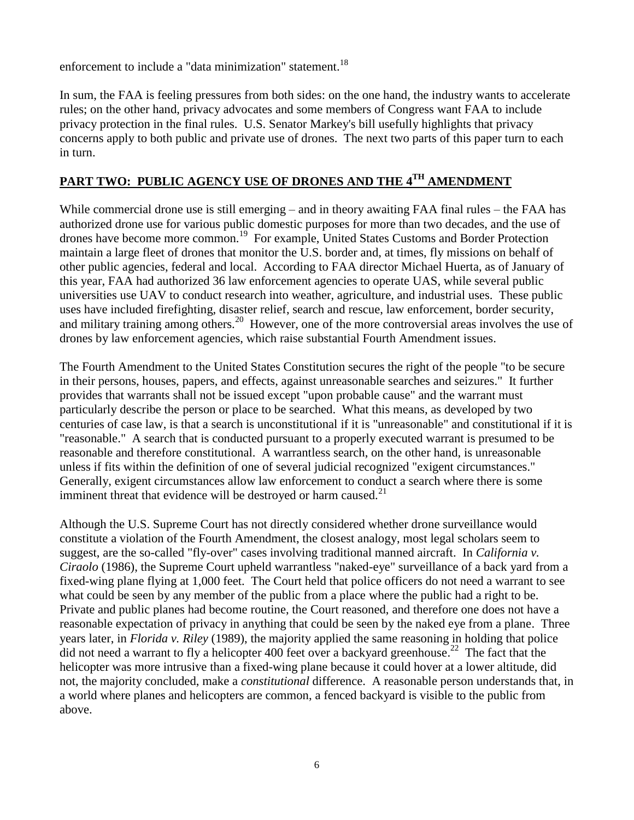enforcement to include a "data minimization" statement.<sup>18</sup>

In sum, the FAA is feeling pressures from both sides: on the one hand, the industry wants to accelerate rules; on the other hand, privacy advocates and some members of Congress want FAA to include privacy protection in the final rules. U.S. Senator Markey's bill usefully highlights that privacy concerns apply to both public and private use of drones. The next two parts of this paper turn to each in turn.

## **PART TWO: PUBLIC AGENCY USE OF DRONES AND THE 4TH AMENDMENT**

While commercial drone use is still emerging – and in theory awaiting FAA final rules – the FAA has authorized drone use for various public domestic purposes for more than two decades, and the use of drones have become more common.<sup>19</sup> For example, United States Customs and Border Protection maintain a large fleet of drones that monitor the U.S. border and, at times, fly missions on behalf of other public agencies, federal and local. According to FAA director Michael Huerta, as of January of this year, FAA had authorized 36 law enforcement agencies to operate UAS, while several public universities use UAV to conduct research into weather, agriculture, and industrial uses. These public uses have included firefighting, disaster relief, search and rescue, law enforcement, border security, and military training among others.<sup>20</sup> However, one of the more controversial areas involves the use of drones by law enforcement agencies, which raise substantial Fourth Amendment issues.

The Fourth Amendment to the United States Constitution secures the right of the people "to be secure in their persons, houses, papers, and effects, against unreasonable searches and seizures." It further provides that warrants shall not be issued except "upon probable cause" and the warrant must particularly describe the person or place to be searched. What this means, as developed by two centuries of case law, is that a search is unconstitutional if it is "unreasonable" and constitutional if it is "reasonable." A search that is conducted pursuant to a properly executed warrant is presumed to be reasonable and therefore constitutional. A warrantless search, on the other hand, is unreasonable unless if fits within the definition of one of several judicial recognized "exigent circumstances." Generally, exigent circumstances allow law enforcement to conduct a search where there is some imminent threat that evidence will be destroyed or harm caused. $2<sup>1</sup>$ 

Although the U.S. Supreme Court has not directly considered whether drone surveillance would constitute a violation of the Fourth Amendment, the closest analogy, most legal scholars seem to suggest, are the so-called "fly-over" cases involving traditional manned aircraft. In *California v. Ciraolo* (1986), the Supreme Court upheld warrantless "naked-eye" surveillance of a back yard from a fixed-wing plane flying at 1,000 feet. The Court held that police officers do not need a warrant to see what could be seen by any member of the public from a place where the public had a right to be. Private and public planes had become routine, the Court reasoned, and therefore one does not have a reasonable expectation of privacy in anything that could be seen by the naked eye from a plane. Three years later, in *Florida v. Riley* (1989), the majority applied the same reasoning in holding that police did not need a warrant to fly a helicopter 400 feet over a backyard greenhouse.<sup>22</sup> The fact that the helicopter was more intrusive than a fixed-wing plane because it could hover at a lower altitude, did not, the majority concluded, make a *constitutional* difference. A reasonable person understands that, in a world where planes and helicopters are common, a fenced backyard is visible to the public from above.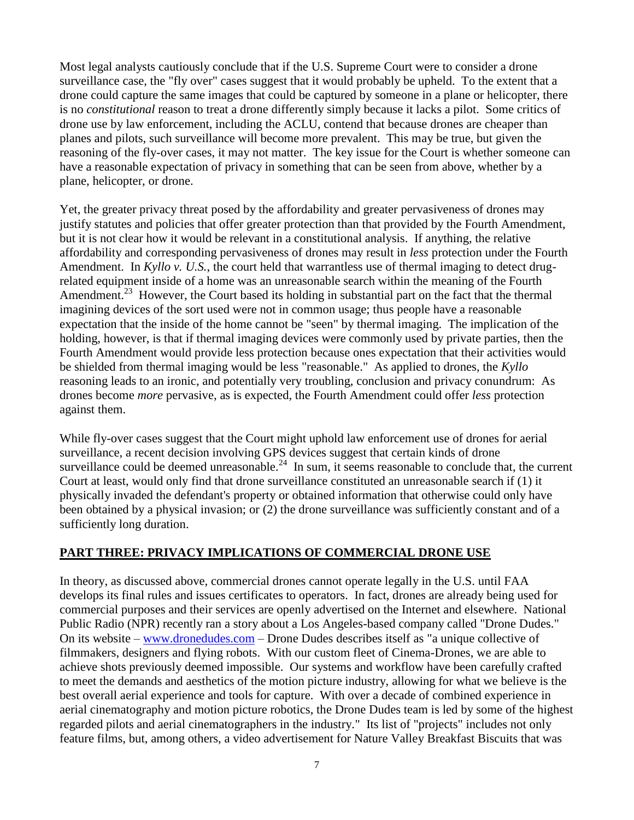Most legal analysts cautiously conclude that if the U.S. Supreme Court were to consider a drone surveillance case, the "fly over" cases suggest that it would probably be upheld. To the extent that a drone could capture the same images that could be captured by someone in a plane or helicopter, there is no *constitutional* reason to treat a drone differently simply because it lacks a pilot. Some critics of drone use by law enforcement, including the ACLU, contend that because drones are cheaper than planes and pilots, such surveillance will become more prevalent. This may be true, but given the reasoning of the fly-over cases, it may not matter. The key issue for the Court is whether someone can have a reasonable expectation of privacy in something that can be seen from above, whether by a plane, helicopter, or drone.

Yet, the greater privacy threat posed by the affordability and greater pervasiveness of drones may justify statutes and policies that offer greater protection than that provided by the Fourth Amendment, but it is not clear how it would be relevant in a constitutional analysis. If anything, the relative affordability and corresponding pervasiveness of drones may result in *less* protection under the Fourth Amendment. In *Kyllo v. U.S.*, the court held that warrantless use of thermal imaging to detect drugrelated equipment inside of a home was an unreasonable search within the meaning of the Fourth Amendment.<sup>23</sup> However, the Court based its holding in substantial part on the fact that the thermal imagining devices of the sort used were not in common usage; thus people have a reasonable expectation that the inside of the home cannot be "seen" by thermal imaging. The implication of the holding, however, is that if thermal imaging devices were commonly used by private parties, then the Fourth Amendment would provide less protection because ones expectation that their activities would be shielded from thermal imaging would be less "reasonable." As applied to drones, the *Kyllo*  reasoning leads to an ironic, and potentially very troubling, conclusion and privacy conundrum: As drones become *more* pervasive, as is expected, the Fourth Amendment could offer *less* protection against them.

While fly-over cases suggest that the Court might uphold law enforcement use of drones for aerial surveillance, a recent decision involving GPS devices suggest that certain kinds of drone surveillance could be deemed unreasonable.<sup>24</sup> In sum, it seems reasonable to conclude that, the current Court at least, would only find that drone surveillance constituted an unreasonable search if (1) it physically invaded the defendant's property or obtained information that otherwise could only have been obtained by a physical invasion; or (2) the drone surveillance was sufficiently constant and of a sufficiently long duration.

#### **PART THREE: PRIVACY IMPLICATIONS OF COMMERCIAL DRONE USE**

In theory, as discussed above, commercial drones cannot operate legally in the U.S. until FAA develops its final rules and issues certificates to operators. In fact, drones are already being used for commercial purposes and their services are openly advertised on the Internet and elsewhere. National Public Radio (NPR) recently ran a story about a Los Angeles-based company called "Drone Dudes." On its website – [www.dronedudes.com](http://www.dronedudes.com/) – Drone Dudes describes itself as "a unique collective of filmmakers, designers and flying robots. With our custom fleet of Cinema-Drones, we are able to achieve shots previously deemed impossible. Our systems and workflow have been carefully crafted to meet the demands and aesthetics of the motion picture industry, allowing for what we believe is the best overall aerial experience and tools for capture. With over a decade of combined experience in aerial cinematography and motion picture robotics, the Drone Dudes team is led by some of the highest regarded pilots and aerial cinematographers in the industry." Its list of "projects" includes not only feature films, but, among others, a video advertisement for Nature Valley Breakfast Biscuits that was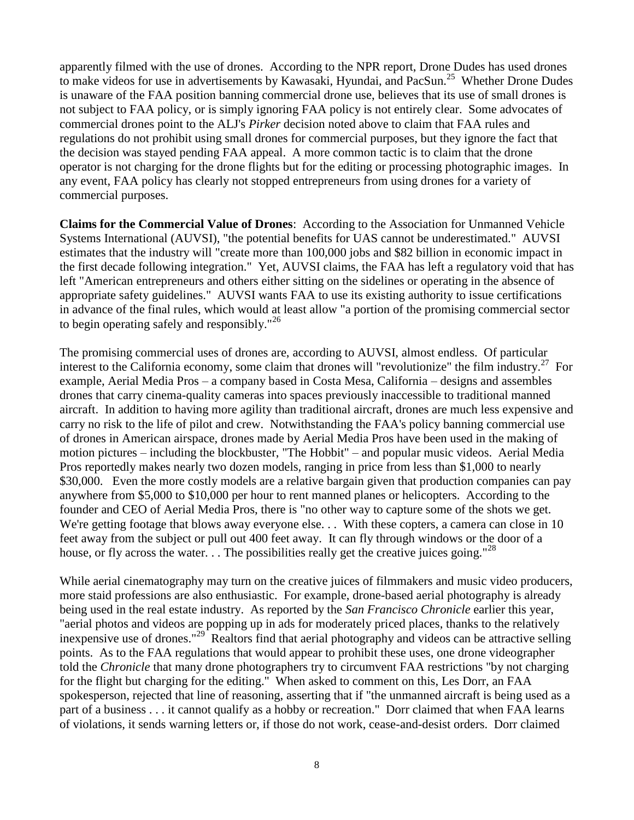apparently filmed with the use of drones. According to the NPR report, Drone Dudes has used drones to make videos for use in advertisements by Kawasaki, Hyundai, and PacSun.<sup>25</sup> Whether Drone Dudes is unaware of the FAA position banning commercial drone use, believes that its use of small drones is not subject to FAA policy, or is simply ignoring FAA policy is not entirely clear. Some advocates of commercial drones point to the ALJ's *Pirker* decision noted above to claim that FAA rules and regulations do not prohibit using small drones for commercial purposes, but they ignore the fact that the decision was stayed pending FAA appeal. A more common tactic is to claim that the drone operator is not charging for the drone flights but for the editing or processing photographic images. In any event, FAA policy has clearly not stopped entrepreneurs from using drones for a variety of commercial purposes.

**Claims for the Commercial Value of Drones**: According to the Association for Unmanned Vehicle Systems International (AUVSI), "the potential benefits for UAS cannot be underestimated." AUVSI estimates that the industry will "create more than 100,000 jobs and \$82 billion in economic impact in the first decade following integration." Yet, AUVSI claims, the FAA has left a regulatory void that has left "American entrepreneurs and others either sitting on the sidelines or operating in the absence of appropriate safety guidelines." AUVSI wants FAA to use its existing authority to issue certifications in advance of the final rules, which would at least allow "a portion of the promising commercial sector to begin operating safely and responsibly."<sup>26</sup>

The promising commercial uses of drones are, according to AUVSI, almost endless. Of particular interest to the California economy, some claim that drones will "revolutionize" the film industry.<sup>27</sup> For example, Aerial Media Pros – a company based in Costa Mesa, California – designs and assembles drones that carry cinema-quality cameras into spaces previously inaccessible to traditional manned aircraft. In addition to having more agility than traditional aircraft, drones are much less expensive and carry no risk to the life of pilot and crew. Notwithstanding the FAA's policy banning commercial use of drones in American airspace, drones made by Aerial Media Pros have been used in the making of motion pictures – including the blockbuster, "The Hobbit" – and popular music videos. Aerial Media Pros reportedly makes nearly two dozen models, ranging in price from less than \$1,000 to nearly \$30,000. Even the more costly models are a relative bargain given that production companies can pay anywhere from \$5,000 to \$10,000 per hour to rent manned planes or helicopters. According to the founder and CEO of Aerial Media Pros, there is "no other way to capture some of the shots we get. We're getting footage that blows away everyone else. . . With these copters, a camera can close in 10 feet away from the subject or pull out 400 feet away. It can fly through windows or the door of a house, or fly across the water. . . The possibilities really get the creative juices going."<sup>28</sup>

While aerial cinematography may turn on the creative juices of filmmakers and music video producers, more staid professions are also enthusiastic. For example, drone-based aerial photography is already being used in the real estate industry. As reported by the *San Francisco Chronicle* earlier this year, "aerial photos and videos are popping up in ads for moderately priced places, thanks to the relatively inexpensive use of drones."<sup>29</sup> Realtors find that aerial photography and videos can be attractive selling points. As to the FAA regulations that would appear to prohibit these uses, one drone videographer told the *Chronicle* that many drone photographers try to circumvent FAA restrictions "by not charging for the flight but charging for the editing." When asked to comment on this, Les Dorr, an FAA spokesperson, rejected that line of reasoning, asserting that if "the unmanned aircraft is being used as a part of a business . . . it cannot qualify as a hobby or recreation." Dorr claimed that when FAA learns of violations, it sends warning letters or, if those do not work, cease-and-desist orders. Dorr claimed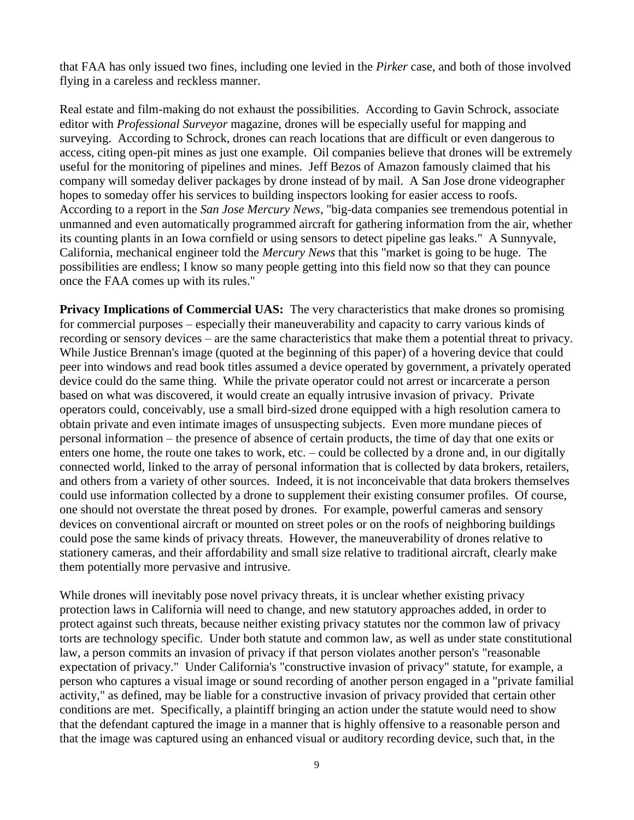that FAA has only issued two fines, including one levied in the *Pirker* case, and both of those involved flying in a careless and reckless manner.

Real estate and film-making do not exhaust the possibilities. According to Gavin Schrock, associate editor with *Professional Surveyor* magazine, drones will be especially useful for mapping and surveying. According to Schrock, drones can reach locations that are difficult or even dangerous to access, citing open-pit mines as just one example. Oil companies believe that drones will be extremely useful for the monitoring of pipelines and mines. Jeff Bezos of Amazon famously claimed that his company will someday deliver packages by drone instead of by mail. A San Jose drone videographer hopes to someday offer his services to building inspectors looking for easier access to roofs. According to a report in the *San Jose Mercury News*, "big-data companies see tremendous potential in unmanned and even automatically programmed aircraft for gathering information from the air, whether its counting plants in an Iowa cornfield or using sensors to detect pipeline gas leaks." A Sunnyvale, California, mechanical engineer told the *Mercury News* that this "market is going to be huge. The possibilities are endless; I know so many people getting into this field now so that they can pounce once the FAA comes up with its rules."

**Privacy Implications of Commercial UAS:** The very characteristics that make drones so promising for commercial purposes – especially their maneuverability and capacity to carry various kinds of recording or sensory devices – are the same characteristics that make them a potential threat to privacy. While Justice Brennan's image (quoted at the beginning of this paper) of a hovering device that could peer into windows and read book titles assumed a device operated by government, a privately operated device could do the same thing. While the private operator could not arrest or incarcerate a person based on what was discovered, it would create an equally intrusive invasion of privacy. Private operators could, conceivably, use a small bird-sized drone equipped with a high resolution camera to obtain private and even intimate images of unsuspecting subjects. Even more mundane pieces of personal information – the presence of absence of certain products, the time of day that one exits or enters one home, the route one takes to work, etc. – could be collected by a drone and, in our digitally connected world, linked to the array of personal information that is collected by data brokers, retailers, and others from a variety of other sources. Indeed, it is not inconceivable that data brokers themselves could use information collected by a drone to supplement their existing consumer profiles. Of course, one should not overstate the threat posed by drones. For example, powerful cameras and sensory devices on conventional aircraft or mounted on street poles or on the roofs of neighboring buildings could pose the same kinds of privacy threats. However, the maneuverability of drones relative to stationery cameras, and their affordability and small size relative to traditional aircraft, clearly make them potentially more pervasive and intrusive.

While drones will inevitably pose novel privacy threats, it is unclear whether existing privacy protection laws in California will need to change, and new statutory approaches added, in order to protect against such threats, because neither existing privacy statutes nor the common law of privacy torts are technology specific. Under both statute and common law, as well as under state constitutional law, a person commits an invasion of privacy if that person violates another person's "reasonable expectation of privacy." Under California's "constructive invasion of privacy" statute, for example, a person who captures a visual image or sound recording of another person engaged in a "private familial activity," as defined, may be liable for a constructive invasion of privacy provided that certain other conditions are met. Specifically, a plaintiff bringing an action under the statute would need to show that the defendant captured the image in a manner that is highly offensive to a reasonable person and that the image was captured using an enhanced visual or auditory recording device, such that, in the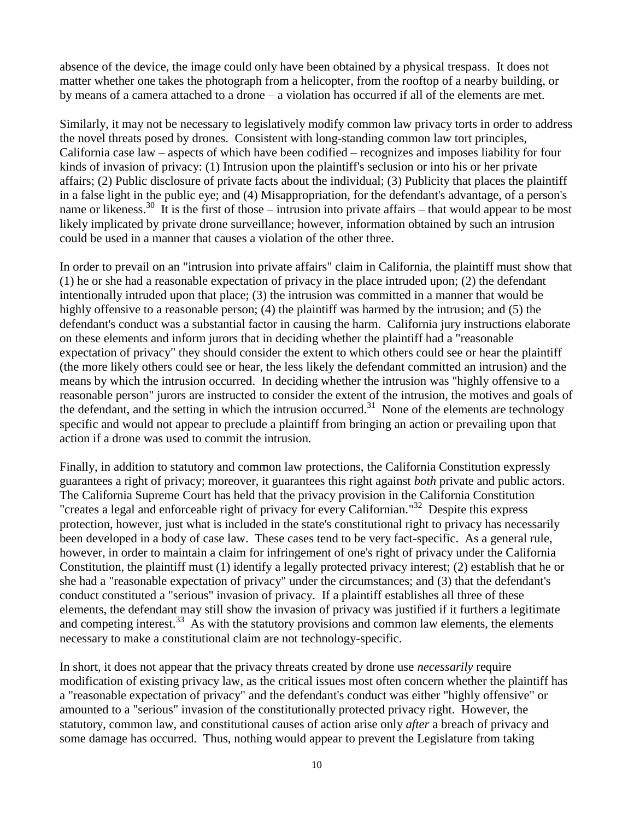absence of the device, the image could only have been obtained by a physical trespass. It does not matter whether one takes the photograph from a helicopter, from the rooftop of a nearby building, or by means of a camera attached to a drone – a violation has occurred if all of the elements are met.

Similarly, it may not be necessary to legislatively modify common law privacy torts in order to address the novel threats posed by drones. Consistent with long-standing common law tort principles, California case law – aspects of which have been codified – recognizes and imposes liability for four kinds of invasion of privacy: (1) Intrusion upon the plaintiff's seclusion or into his or her private affairs; (2) Public disclosure of private facts about the individual; (3) Publicity that places the plaintiff in a false light in the public eye; and (4) Misappropriation, for the defendant's advantage, of a person's name or likeness.<sup>30</sup> It is the first of those – intrusion into private affairs – that would appear to be most likely implicated by private drone surveillance; however, information obtained by such an intrusion could be used in a manner that causes a violation of the other three.

In order to prevail on an "intrusion into private affairs" claim in California, the plaintiff must show that (1) he or she had a reasonable expectation of privacy in the place intruded upon; (2) the defendant intentionally intruded upon that place; (3) the intrusion was committed in a manner that would be highly offensive to a reasonable person; (4) the plaintiff was harmed by the intrusion; and (5) the defendant's conduct was a substantial factor in causing the harm. California jury instructions elaborate on these elements and inform jurors that in deciding whether the plaintiff had a "reasonable expectation of privacy" they should consider the extent to which others could see or hear the plaintiff (the more likely others could see or hear, the less likely the defendant committed an intrusion) and the means by which the intrusion occurred. In deciding whether the intrusion was "highly offensive to a reasonable person" jurors are instructed to consider the extent of the intrusion, the motives and goals of the defendant, and the setting in which the intrusion occurred.<sup>31</sup> None of the elements are technology specific and would not appear to preclude a plaintiff from bringing an action or prevailing upon that action if a drone was used to commit the intrusion.

Finally, in addition to statutory and common law protections, the California Constitution expressly guarantees a right of privacy; moreover, it guarantees this right against *both* private and public actors. The California Supreme Court has held that the privacy provision in the California Constitution "creates a legal and enforceable right of privacy for every Californian."<sup>32</sup> Despite this express protection, however, just what is included in the state's constitutional right to privacy has necessarily been developed in a body of case law. These cases tend to be very fact-specific. As a general rule, however, in order to maintain a claim for infringement of one's right of privacy under the California Constitution, the plaintiff must (1) identify a legally protected privacy interest; (2) establish that he or she had a "reasonable expectation of privacy" under the circumstances; and (3) that the defendant's conduct constituted a "serious" invasion of privacy. If a plaintiff establishes all three of these elements, the defendant may still show the invasion of privacy was justified if it furthers a legitimate and competing interest.<sup>33</sup> As with the statutory provisions and common law elements, the elements necessary to make a constitutional claim are not technology-specific.

In short, it does not appear that the privacy threats created by drone use *necessarily* require modification of existing privacy law, as the critical issues most often concern whether the plaintiff has a "reasonable expectation of privacy" and the defendant's conduct was either "highly offensive" or amounted to a "serious" invasion of the constitutionally protected privacy right. However, the statutory, common law, and constitutional causes of action arise only *after* a breach of privacy and some damage has occurred. Thus, nothing would appear to prevent the Legislature from taking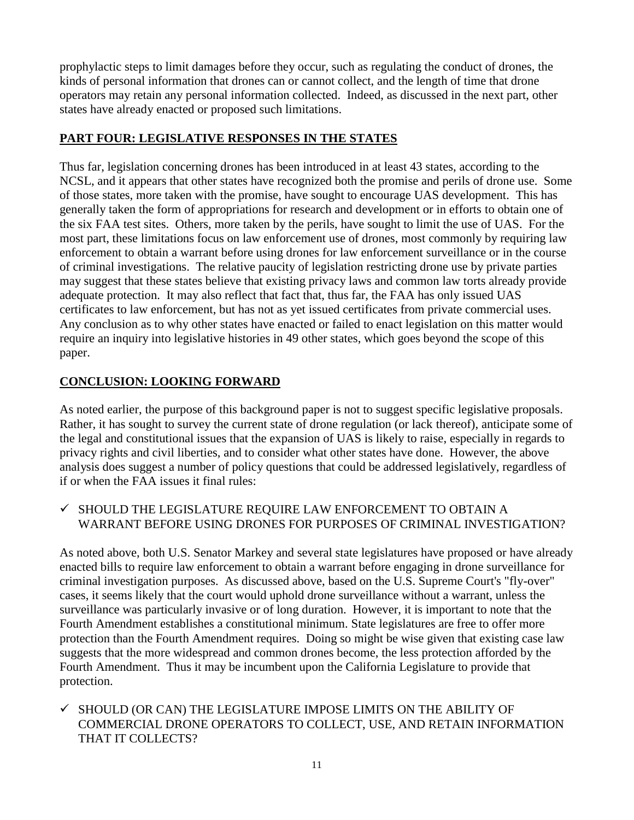prophylactic steps to limit damages before they occur, such as regulating the conduct of drones, the kinds of personal information that drones can or cannot collect, and the length of time that drone operators may retain any personal information collected. Indeed, as discussed in the next part, other states have already enacted or proposed such limitations.

#### **PART FOUR: LEGISLATIVE RESPONSES IN THE STATES**

Thus far, legislation concerning drones has been introduced in at least 43 states, according to the NCSL, and it appears that other states have recognized both the promise and perils of drone use. Some of those states, more taken with the promise, have sought to encourage UAS development. This has generally taken the form of appropriations for research and development or in efforts to obtain one of the six FAA test sites. Others, more taken by the perils, have sought to limit the use of UAS. For the most part, these limitations focus on law enforcement use of drones, most commonly by requiring law enforcement to obtain a warrant before using drones for law enforcement surveillance or in the course of criminal investigations. The relative paucity of legislation restricting drone use by private parties may suggest that these states believe that existing privacy laws and common law torts already provide adequate protection. It may also reflect that fact that, thus far, the FAA has only issued UAS certificates to law enforcement, but has not as yet issued certificates from private commercial uses. Any conclusion as to why other states have enacted or failed to enact legislation on this matter would require an inquiry into legislative histories in 49 other states, which goes beyond the scope of this paper.

### **CONCLUSION: LOOKING FORWARD**

As noted earlier, the purpose of this background paper is not to suggest specific legislative proposals. Rather, it has sought to survey the current state of drone regulation (or lack thereof), anticipate some of the legal and constitutional issues that the expansion of UAS is likely to raise, especially in regards to privacy rights and civil liberties, and to consider what other states have done. However, the above analysis does suggest a number of policy questions that could be addressed legislatively, regardless of if or when the FAA issues it final rules:

#### $\checkmark~$  SHOULD THE LEGISLATURE REQUIRE LAW ENFORCEMENT TO OBTAIN A WARRANT BEFORE USING DRONES FOR PURPOSES OF CRIMINAL INVESTIGATION?

As noted above, both U.S. Senator Markey and several state legislatures have proposed or have already enacted bills to require law enforcement to obtain a warrant before engaging in drone surveillance for criminal investigation purposes. As discussed above, based on the U.S. Supreme Court's "fly-over" cases, it seems likely that the court would uphold drone surveillance without a warrant, unless the surveillance was particularly invasive or of long duration. However, it is important to note that the Fourth Amendment establishes a constitutional minimum. State legislatures are free to offer more protection than the Fourth Amendment requires. Doing so might be wise given that existing case law suggests that the more widespread and common drones become, the less protection afforded by the Fourth Amendment. Thus it may be incumbent upon the California Legislature to provide that protection.

 $\checkmark$  SHOULD (OR CAN) THE LEGISLATURE IMPOSE LIMITS ON THE ABILITY OF COMMERCIAL DRONE OPERATORS TO COLLECT, USE, AND RETAIN INFORMATION THAT IT COLLECTS?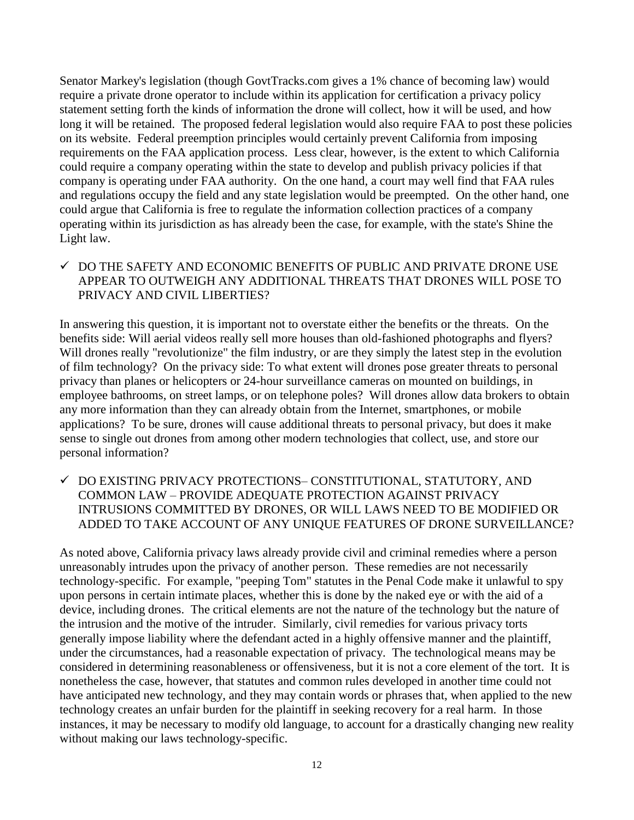Senator Markey's legislation (though GovtTracks.com gives a 1% chance of becoming law) would require a private drone operator to include within its application for certification a privacy policy statement setting forth the kinds of information the drone will collect, how it will be used, and how long it will be retained. The proposed federal legislation would also require FAA to post these policies on its website. Federal preemption principles would certainly prevent California from imposing requirements on the FAA application process. Less clear, however, is the extent to which California could require a company operating within the state to develop and publish privacy policies if that company is operating under FAA authority. On the one hand, a court may well find that FAA rules and regulations occupy the field and any state legislation would be preempted. On the other hand, one could argue that California is free to regulate the information collection practices of a company operating within its jurisdiction as has already been the case, for example, with the state's Shine the Light law.

#### $\checkmark$  DO THE SAFETY AND ECONOMIC BENEFITS OF PUBLIC AND PRIVATE DRONE USE APPEAR TO OUTWEIGH ANY ADDITIONAL THREATS THAT DRONES WILL POSE TO PRIVACY AND CIVIL LIBERTIES?

In answering this question, it is important not to overstate either the benefits or the threats. On the benefits side: Will aerial videos really sell more houses than old-fashioned photographs and flyers? Will drones really "revolutionize" the film industry, or are they simply the latest step in the evolution of film technology? On the privacy side: To what extent will drones pose greater threats to personal privacy than planes or helicopters or 24-hour surveillance cameras on mounted on buildings, in employee bathrooms, on street lamps, or on telephone poles? Will drones allow data brokers to obtain any more information than they can already obtain from the Internet, smartphones, or mobile applications? To be sure, drones will cause additional threats to personal privacy, but does it make sense to single out drones from among other modern technologies that collect, use, and store our personal information?

 DO EXISTING PRIVACY PROTECTIONS– CONSTITUTIONAL, STATUTORY, AND COMMON LAW – PROVIDE ADEQUATE PROTECTION AGAINST PRIVACY INTRUSIONS COMMITTED BY DRONES, OR WILL LAWS NEED TO BE MODIFIED OR ADDED TO TAKE ACCOUNT OF ANY UNIQUE FEATURES OF DRONE SURVEILLANCE?

As noted above, California privacy laws already provide civil and criminal remedies where a person unreasonably intrudes upon the privacy of another person. These remedies are not necessarily technology-specific. For example, "peeping Tom" statutes in the Penal Code make it unlawful to spy upon persons in certain intimate places, whether this is done by the naked eye or with the aid of a device, including drones. The critical elements are not the nature of the technology but the nature of the intrusion and the motive of the intruder. Similarly, civil remedies for various privacy torts generally impose liability where the defendant acted in a highly offensive manner and the plaintiff, under the circumstances, had a reasonable expectation of privacy. The technological means may be considered in determining reasonableness or offensiveness, but it is not a core element of the tort. It is nonetheless the case, however, that statutes and common rules developed in another time could not have anticipated new technology, and they may contain words or phrases that, when applied to the new technology creates an unfair burden for the plaintiff in seeking recovery for a real harm. In those instances, it may be necessary to modify old language, to account for a drastically changing new reality without making our laws technology-specific.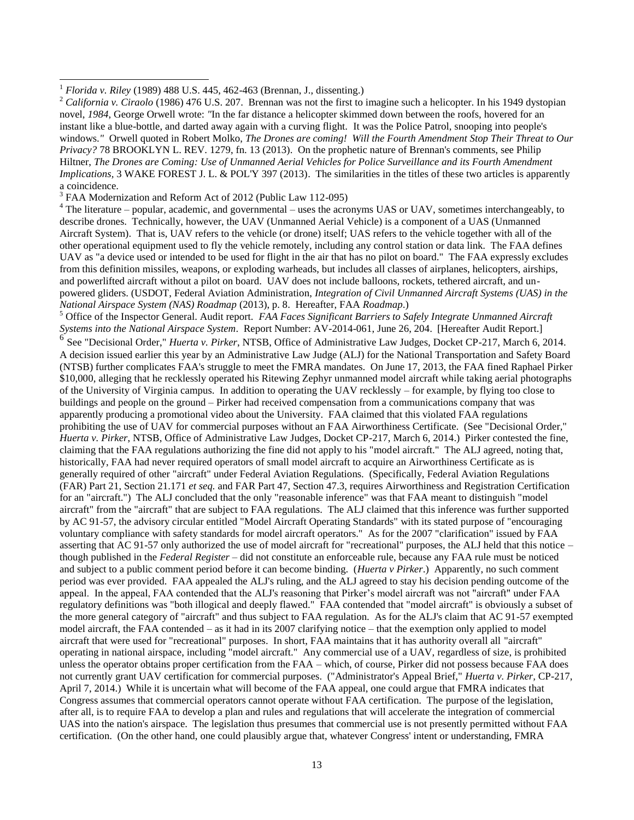l

<sup>3</sup> FAA Modernization and Reform Act of 2012 (Public Law 112-095)

 $4$  The literature – popular, academic, and governmental – uses the acronyms UAS or UAV, sometimes interchangeably, to describe drones. Technically, however, the UAV (Unmanned Aerial Vehicle) is a component of a UAS (Unmanned Aircraft System). That is, UAV refers to the vehicle (or drone) itself; UAS refers to the vehicle together with all of the other operational equipment used to fly the vehicle remotely, including any control station or data link. The FAA defines UAV as "a device used or intended to be used for flight in the air that has no pilot on board." The FAA expressly excludes from this definition missiles, weapons, or exploding warheads, but includes all classes of airplanes, helicopters, airships, and powerlifted aircraft without a pilot on board. UAV does not include balloons, rockets, tethered aircraft, and unpowered gliders. (USDOT, Federal Aviation Administration, *Integration of Civil Unmanned Aircraft Systems (UAS) in the National Airspace System (NAS) Roadmap* (2013), p. 8. Hereafter, FAA *Roadmap*.)

<sup>5</sup> Office of the Inspector General. Audit report. *FAA Faces Significant Barriers to Safely Integrate Unmanned Aircraft Systems into the National Airspace System*. Report Number: AV-2014-061, June 26, 204. [Hereafter Audit Report.] 6

See "Decisional Order," *Huerta v. Pirker*, NTSB, Office of Administrative Law Judges, Docket CP-217, March 6, 2014. A decision issued earlier this year by an Administrative Law Judge (ALJ) for the National Transportation and Safety Board (NTSB) further complicates FAA's struggle to meet the FMRA mandates. On June 17, 2013, the FAA fined Raphael Pirker \$10,000, alleging that he recklessly operated his Ritewing Zephyr unmanned model aircraft while taking aerial photographs of the University of Virginia campus. In addition to operating the UAV recklessly – for example, by flying too close to buildings and people on the ground – Pirker had received compensation from a communications company that was apparently producing a promotional video about the University. FAA claimed that this violated FAA regulations prohibiting the use of UAV for commercial purposes without an FAA Airworthiness Certificate. (See "Decisional Order," *Huerta v. Pirker*, NTSB, Office of Administrative Law Judges, Docket CP-217, March 6, 2014.) Pirker contested the fine, claiming that the FAA regulations authorizing the fine did not apply to his "model aircraft." The ALJ agreed, noting that, historically, FAA had never required operators of small model aircraft to acquire an Airworthiness Certificate as is generally required of other "aircraft" under Federal Aviation Regulations. (Specifically, Federal Aviation Regulations (FAR) Part 21, Section 21.171 *et seq.* and FAR Part 47, Section 47.3, requires Airworthiness and Registration Certification for an "aircraft.") The ALJ concluded that the only "reasonable inference" was that FAA meant to distinguish "model aircraft" from the "aircraft" that are subject to FAA regulations. The ALJ claimed that this inference was further supported by AC 91-57, the advisory circular entitled "Model Aircraft Operating Standards" with its stated purpose of "encouraging voluntary compliance with safety standards for model aircraft operators." As for the 2007 "clarification" issued by FAA asserting that AC 91-57 only authorized the use of model aircraft for "recreational" purposes, the ALJ held that this notice – though published in the *Federal Register* – did not constitute an enforceable rule, because any FAA rule must be noticed and subject to a public comment period before it can become binding. (*Huerta v Pirker*.) Apparently, no such comment period was ever provided. FAA appealed the ALJ's ruling, and the ALJ agreed to stay his decision pending outcome of the appeal. In the appeal, FAA contended that the ALJ's reasoning that Pirker's model aircraft was not "aircraft" under FAA regulatory definitions was "both illogical and deeply flawed." FAA contended that "model aircraft" is obviously a subset of the more general category of "aircraft" and thus subject to FAA regulation. As for the ALJ's claim that AC 91-57 exempted model aircraft, the FAA contended – as it had in its 2007 clarifying notice – that the exemption only applied to model aircraft that were used for "recreational" purposes. In short, FAA maintains that it has authority overall all "aircraft" operating in national airspace, including "model aircraft." Any commercial use of a UAV, regardless of size, is prohibited unless the operator obtains proper certification from the FAA – which, of course, Pirker did not possess because FAA does not currently grant UAV certification for commercial purposes. ("Administrator's Appeal Brief," *Huerta v. Pirker,* CP-217, April 7, 2014.) While it is uncertain what will become of the FAA appeal, one could argue that FMRA indicates that Congress assumes that commercial operators cannot operate without FAA certification. The purpose of the legislation, after all, is to require FAA to develop a plan and rules and regulations that will accelerate the integration of commercial UAS into the nation's airspace. The legislation thus presumes that commercial use is not presently permitted without FAA certification. (On the other hand, one could plausibly argue that, whatever Congress' intent or understanding, FMRA

<sup>1</sup> *Florida v. Riley* (1989) 488 U.S. 445, 462-463 (Brennan, J., dissenting.)

<sup>2</sup> *California v. Ciraolo* (1986) 476 U.S. 207. Brennan was not the first to imagine such a helicopter. In his 1949 dystopian novel, *1984*, George Orwell wrote: *"*In the far distance a helicopter skimmed down between the roofs, hovered for an instant like a blue-bottle, and darted away again with a curving flight. It was the Police Patrol, snooping into people's windows.*"* Orwell quoted in Robert Molko, *The Drones are coming! Will the Fourth Amendment Stop Their Threat to Our Privacy?* 78 BROOKLYN L. REV. 1279, fn. 13 (2013). On the prophetic nature of Brennan's comments, see Philip Hiltner, *The Drones are Coming: Use of Unmanned Aerial Vehicles for Police Surveillance and its Fourth Amendment Implications,* 3 WAKE FOREST J. L. & POL'Y 397 (2013). The similarities in the titles of these two articles is apparently a coincidence.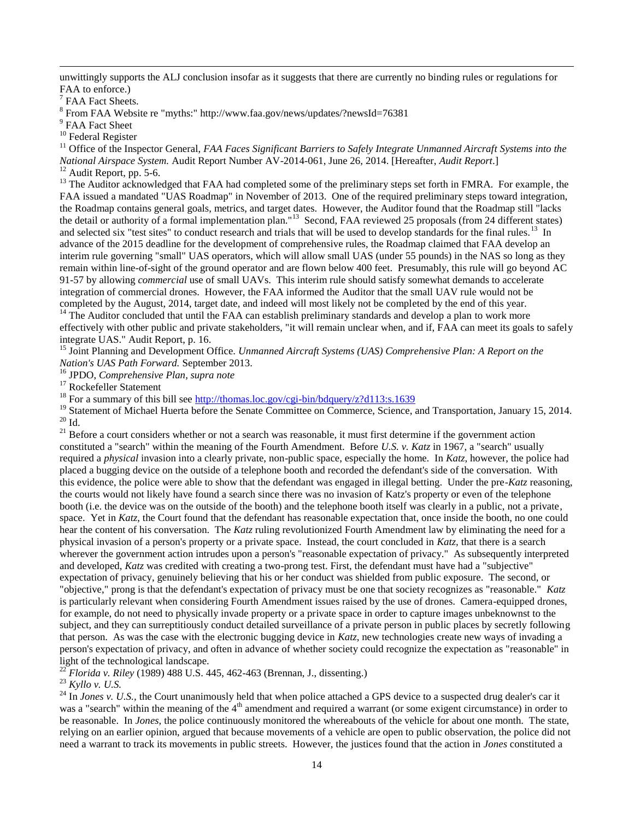unwittingly supports the ALJ conclusion insofar as it suggests that there are currently no binding rules or regulations for FAA to enforce.)

<sup>7</sup> FAA Fact Sheets.

l

8 From FAA Website re "myths:" http://www.faa.gov/news/updates/?newsId=76381

<sup>9</sup> FAA Fact Sheet

<sup>10</sup> Federal Register

<sup>11</sup> Office of the Inspector General, *FAA Faces Significant Barriers to Safely Integrate Unmanned Aircraft Systems into the National Airspace System.* Audit Report Number AV-2014-061, June 26, 2014. [Hereafter, *Audit Report*.] <sup>12</sup> Audit Report, pp. 5-6.

<sup>13</sup> The Auditor acknowledged that FAA had completed some of the preliminary steps set forth in FMRA. For example, the FAA issued a mandated "UAS Roadmap" in November of 2013. One of the required preliminary steps toward integration, the Roadmap contains general goals, metrics, and target dates. However, the Auditor found that the Roadmap still "lacks the detail or authority of a formal implementation plan."<sup>13</sup> Second, FAA reviewed 25 proposals (from 24 different states) and selected six "test sites" to conduct research and trials that will be used to develop standards for the final rules.<sup>13</sup> In advance of the 2015 deadline for the development of comprehensive rules, the Roadmap claimed that FAA develop an interim rule governing "small" UAS operators, which will allow small UAS (under 55 pounds) in the NAS so long as they remain within line-of-sight of the ground operator and are flown below 400 feet. Presumably, this rule will go beyond AC 91-57 by allowing *commercial* use of small UAVs. This interim rule should satisfy somewhat demands to accelerate integration of commercial drones. However, the FAA informed the Auditor that the small UAV rule would not be completed by the August, 2014, target date, and indeed will most likely not be completed by the end of this year. <sup>14</sup> The Auditor concluded that until the FAA can establish preliminary standards and develop a plan to work more

effectively with other public and private stakeholders, "it will remain unclear when, and if, FAA can meet its goals to safely integrate UAS." Audit Report, p. 16.

<sup>15</sup> Joint Planning and Development Office. *Unmanned Aircraft Systems (UAS) Comprehensive Plan: A Report on the Nation's UAS Path Forward.* September 2013.

<sup>16</sup> JPDO, *Comprehensive Plan, supra note* 

<sup>17</sup> Rockefeller Statement

<sup>18</sup> For a summary of this bill see http://thomas.loc.gov/cgi-bin/bdquery/z?d113:s.1639

<sup>19</sup> Statement of Michael Huerta before the Senate Committee on Commerce, Science, and Transportation, January 15, 2014.  $20$  Id.

 $21$  Before a court considers whether or not a search was reasonable, it must first determine if the government action constituted a "search" within the meaning of the Fourth Amendment. Before *U.S. v. Katz* in 1967, a "search" usually required a *physical* invasion into a clearly private, non-public space, especially the home. In *Katz*, however, the police had placed a bugging device on the outside of a telephone booth and recorded the defendant's side of the conversation. With this evidence, the police were able to show that the defendant was engaged in illegal betting. Under the pre-*Katz* reasoning, the courts would not likely have found a search since there was no invasion of Katz's property or even of the telephone booth (i.e. the device was on the outside of the booth) and the telephone booth itself was clearly in a public, not a private, space. Yet in *Katz*, the Court found that the defendant has reasonable expectation that, once inside the booth, no one could hear the content of his conversation. The *Katz* ruling revolutionized Fourth Amendment law by eliminating the need for a physical invasion of a person's property or a private space. Instead, the court concluded in *Katz,* that there is a search wherever the government action intrudes upon a person's "reasonable expectation of privacy." As subsequently interpreted and developed, *Katz* was credited with creating a two-prong test. First, the defendant must have had a "subjective" expectation of privacy, genuinely believing that his or her conduct was shielded from public exposure. The second, or "objective," prong is that the defendant's expectation of privacy must be one that society recognizes as "reasonable." *Katz*  is particularly relevant when considering Fourth Amendment issues raised by the use of drones. Camera-equipped drones, for example, do not need to physically invade property or a private space in order to capture images unbeknownst to the subject, and they can surreptitiously conduct detailed surveillance of a private person in public places by secretly following that person. As was the case with the electronic bugging device in *Katz*, new technologies create new ways of invading a person's expectation of privacy, and often in advance of whether society could recognize the expectation as "reasonable" in light of the technological landscape.

<sup>22</sup> *Florida v. Riley* (1989) 488 U.S. 445, 462-463 (Brennan, J., dissenting.)

<sup>23</sup> *Kyllo v. U.S.* 

<sup>24</sup> In *Jones v. U.S.*, the Court unanimously held that when police attached a GPS device to a suspected drug dealer's car it was a "search" within the meaning of the  $4<sup>th</sup>$  amendment and required a warrant (or some exigent circumstance) in order to be reasonable. In *Jones,* the police continuously monitored the whereabouts of the vehicle for about one month. The state, relying on an earlier opinion, argued that because movements of a vehicle are open to public observation, the police did not need a warrant to track its movements in public streets. However, the justices found that the action in *Jones* constituted a